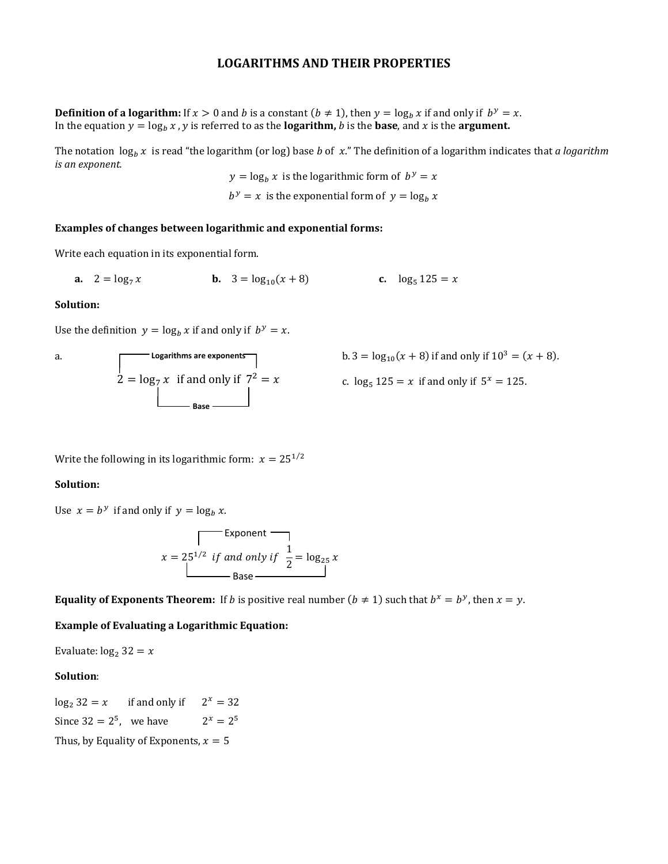### LOGARITHMS AND THEIR PROPERTIES

**Definition of a logarithm:** If  $x > 0$  and b is a constant  $(b \ne 1)$ , then  $y = \log_b x$  if and only if  $b^y = x$ . In the equation  $y = \log_b x$ , y is referred to as the **logarithm**, b is the **base**, and x is the **argument**.

The notation  $\log_b x$  is read "the logarithm (or log) base *b* of x." The definition of a logarithm indicates that a logarithm is an exponent.

 $y = \log_b x$  is the logarithmic form of  $b^y = x$  $b^y = x$  is the exponential form of  $y = \log_b x$ 

#### Examples of changes between logarithmic and exponential forms:

Write each equation in its exponential form.

**a.**  $2 = \log_7 x$  **b.**  $3 =$  $\log_{10}(x+8)$  c.  $\log_5 125 = x$ 

#### Solution:

Use the definition  $y = \log_b x$  if and only if  $b^y = x$ .

a. 
$$
\log_7 x \text{ if and only if } 7^2 = x
$$
  
b. 3 =   
2 =  $\log_7 x$  if and only if  $7^2 = x$  c.  $\log_7 x$ 

b. 
$$
3 = \log_{10}(x + 8)
$$
 if and only if  $10^3 = (x + 8)$ .

c.  $\log_5 125 = x$  if and only if  $5^x = 125$ .

Write the following in its logarithmic form:  $x = 25^{1/2}$ 

#### Solution:

Use  $x = b^y$  if and only if  $y = \log_b x$ .

$$
x = 25^{1/2} \text{ if and only if } \frac{1}{2} = \log_{25} x
$$
  
Base

**Equality of Exponents Theorem:** If *b* is positive real number ( $b \neq 1$ ) such that  $b^x = b^y$ , then  $x = y$ .

Example of Evaluating a Logarithmic Equation:

Evaluate:  $log_2 32 = x$ 

#### Solution:

 $\log_2 32 = x$  if and only if  $2^x = 32$ Since  $32 = 2^5$ , we have  $2^x =$  $2^x = 2^5$ Thus, by Equality of Exponents,  $x = 5$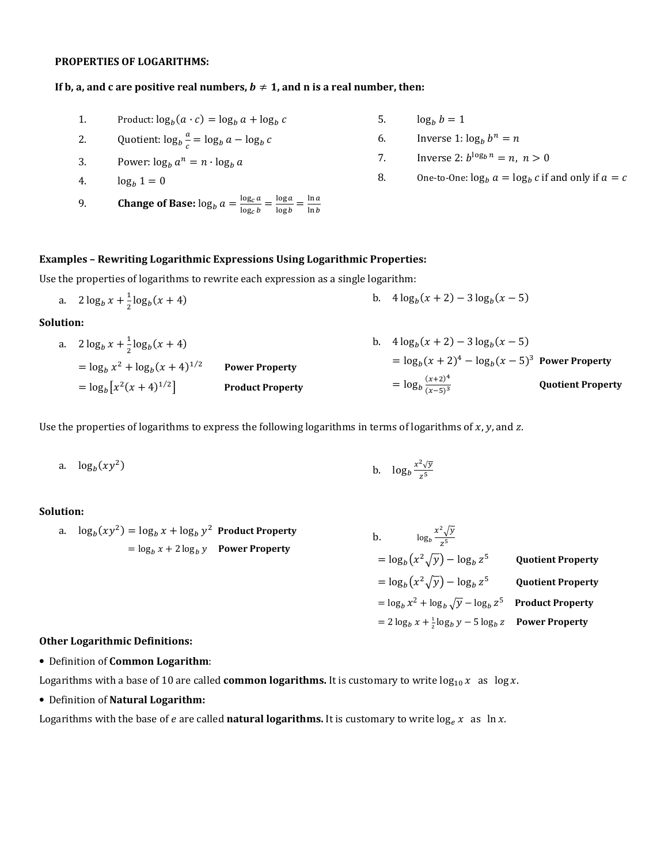#### PROPERTIES OF LOGARITHMS:

#### If b, a, and c are positive real numbers,  $b \neq 1$ , and n is a real number, then:

- 1. Product:  $\log_b(a \cdot c) = \log_b a + \log_b c$
- 2. Quotient:  $\log_b \frac{a}{c}$  $\frac{a}{c} = \log_b a - \log_b c$
- 3. Power:  $\log_b a^n = n \cdot \log_b a$
- 4.  $\log_b 1 = 0$
- 9. **Change of Base:**  $\log_b a = \frac{\log_c a}{\log_c b}$  $\frac{\log_c a}{\log_c b} = \frac{\log a}{\log b}$  $\frac{\log a}{\log b} = \frac{\ln a}{\ln b}$  $\ln b$
- 5.  $\log_b b = 1$
- 6. Inverse  $1: \log_b b^n = n$
- 7. Inverse 2:  $b^{\log_b n} = n, n > 0$
- 8. One-to-One:  $\log_b a = \log_b c$  if and only if  $a = c$

#### Examples – Rewriting Logarithmic Expressions Using Logarithmic Properties:

Use the properties of logarithms to rewrite each expression as a single logarithm:

a.  $2 \log_b x + \frac{1}{2} \log_b (x+4)$  b.  $4 \log_b$  $(x+2) - 3 \log_b(x-5)$ 

Solution:

a.  $2 \log_b x + \frac{1}{2} \log_b (x+4)$  $= \log_b x^2 + \log_b (x+4)^{1/2}$  Power Property  $=\log_b [x^2(x+4)^{1/2}]$ Product Property b.  $4\log_b(x+2) - 3\log_b(x-5)$  $= \log_b(x+2)^4 - \log_b(x-5)^3$  Power Property  $=\log_b \frac{(x+2)^4}{(x-5)^3}$  $(x-5)^3$ Quotient Property

Use the properties of logarithms to express the following logarithms in terms of logarithms of  $x$ ,  $y$ , and  $z$ .

a. 
$$
\log_b(xy^2)
$$
 b.  $\log_b \frac{x^2 \sqrt{y}}{z^5}$ 

#### Solution:

a. 
$$
\log_b(xy^2) = \log_b x + \log_b y^2
$$
 Product Property  
\n
$$
= \log_b x + 2 \log_b y
$$
 Power Property  
\n
$$
= \log_b (x^2 \sqrt{y}) - \log_b z^5
$$
 Quotient Property  
\n
$$
= \log_b (x^2 \sqrt{y}) - \log_b z^5
$$
 Quotient Property  
\n
$$
= \log_b x^2 + \log_b \sqrt{y} - \log_b z^5
$$
 Product Property  
\n
$$
= 2 \log_b x + \frac{1}{2} \log_b y - 5 \log_b z
$$
 Power Property

#### Other Logarithmic Definitions:

• Definition of Common Logarithm:

Logarithms with a base of 10 are called **common logarithms.** It is customary to write  $\log_{10} x$  as  $\log x$ .

• Definition of Natural Logarithm:

Logarithms with the base of e are called natural logarithms. It is customary to write  $\log_e x$  as  $\ln x$ .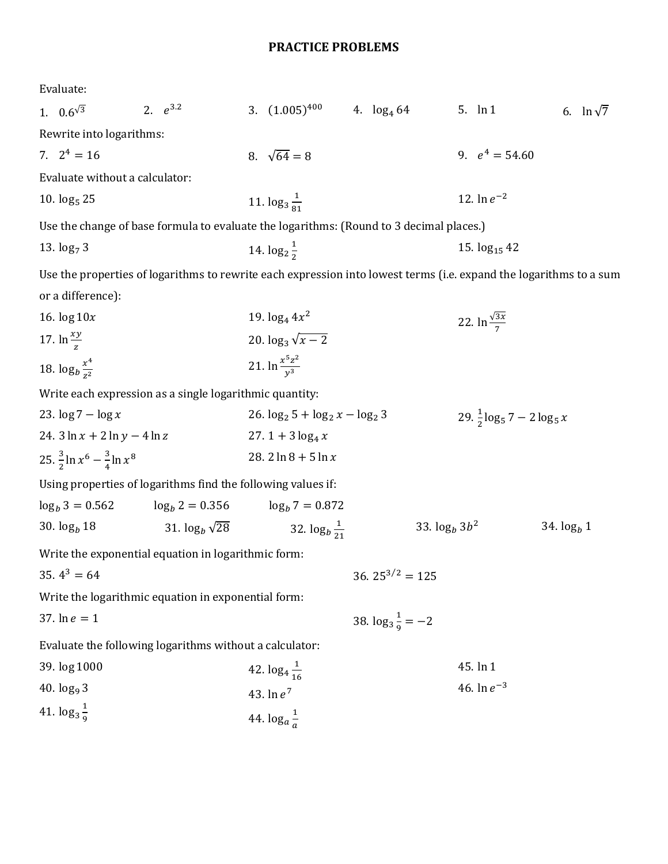## PRACTICE PROBLEMS

Evaluate:

| 1. $0.6^{\sqrt{3}}$                               | 2. $e^{3.2}$                                            | 3. $(1.005)^{400}$ 4. $\log_4 64$                                                                                  |                                      | 5. $\ln 1$                    | 6. $\ln \sqrt{7}$                       |  |
|---------------------------------------------------|---------------------------------------------------------|--------------------------------------------------------------------------------------------------------------------|--------------------------------------|-------------------------------|-----------------------------------------|--|
| Rewrite into logarithms:                          |                                                         |                                                                                                                    |                                      |                               |                                         |  |
| 7. $2^4 = 16$                                     |                                                         | 8. $\sqrt{64} = 8$                                                                                                 |                                      | 9. $e^4 = 54.60$              |                                         |  |
| Evaluate without a calculator:                    |                                                         |                                                                                                                    |                                      |                               |                                         |  |
| 10. $log_5 25$                                    |                                                         | 11. $\log_3 \frac{1}{2}$                                                                                           |                                      | 12. $\ln e^{-2}$              |                                         |  |
|                                                   |                                                         | Use the change of base formula to evaluate the logarithms: (Round to 3 decimal places.)                            |                                      |                               |                                         |  |
| 13. $log_7 3$                                     |                                                         | 14. $\log_2\frac{1}{2}$                                                                                            |                                      | 15. $log_{15}$ 42             |                                         |  |
|                                                   |                                                         | Use the properties of logarithms to rewrite each expression into lowest terms (i.e. expand the logarithms to a sum |                                      |                               |                                         |  |
| or a difference):                                 |                                                         |                                                                                                                    |                                      |                               |                                         |  |
| 16. $\log 10x$                                    |                                                         | 19. $log_4 4x^2$                                                                                                   |                                      | 22. $\ln \frac{\sqrt{3x}}{7}$ |                                         |  |
| 17. $\ln \frac{xy}{7}$                            |                                                         | 20. $\log_3 \sqrt{x-2}$                                                                                            |                                      |                               |                                         |  |
| 18. $\log_b \frac{x^4}{72}$                       |                                                         | 21. $\ln \frac{x^5 z^2}{y^3}$                                                                                      |                                      |                               |                                         |  |
|                                                   | Write each expression as a single logarithmic quantity: |                                                                                                                    |                                      |                               |                                         |  |
| 23. $\log 7 - \log x$                             |                                                         |                                                                                                                    | 26. $\log_2 5 + \log_2 x - \log_2 3$ |                               | $29. \frac{1}{2} \log_5 7 - 2 \log_5 x$ |  |
| 24. $3 \ln x + 2 \ln y - 4 \ln z$                 |                                                         | 27. 1 + $3 \log_4 x$                                                                                               |                                      |                               |                                         |  |
| 25. $\frac{3}{2}$ ln $x^6 - \frac{3}{4}$ ln $x^8$ |                                                         | 28. $2 \ln 8 + 5 \ln x$                                                                                            |                                      |                               |                                         |  |
|                                                   |                                                         | Using properties of logarithms find the following values if:                                                       |                                      |                               |                                         |  |
| $\log_b 3 = 0.562$                                | $\log_b 2 = 0.356$                                      | $\log_b 7 = 0.872$                                                                                                 |                                      |                               |                                         |  |
| 30. $log_b 18$                                    | 31. $\log_b \sqrt{28}$                                  | 32. $\log_b \frac{1}{21}$                                                                                          | 33. $\log_b 3b^2$                    |                               | 34. $log_b 1$                           |  |
|                                                   | Write the exponential equation in logarithmic form:     |                                                                                                                    |                                      |                               |                                         |  |
| 35. $4^3 = 64$                                    |                                                         |                                                                                                                    | 36. $25^{3/2} = 125$                 |                               |                                         |  |
|                                                   | Write the logarithmic equation in exponential form:     |                                                                                                                    |                                      |                               |                                         |  |
| 37. $\ln e = 1$                                   |                                                         |                                                                                                                    | 38. $\log_3 \frac{1}{9} = -2$        |                               |                                         |  |
|                                                   | Evaluate the following logarithms without a calculator: |                                                                                                                    |                                      |                               |                                         |  |
| 39. log 1000                                      |                                                         | 42. $\log_4{\frac{1}{16}}$                                                                                         |                                      | 45. ln 1                      |                                         |  |
| 40. $log_9 3$                                     |                                                         | 43. $\ln e^7$                                                                                                      |                                      |                               | 46. $\ln e^{-3}$                        |  |
| 41. $\log_3 \frac{1}{9}$                          |                                                         | 44. $\log_a \frac{1}{a}$                                                                                           |                                      |                               |                                         |  |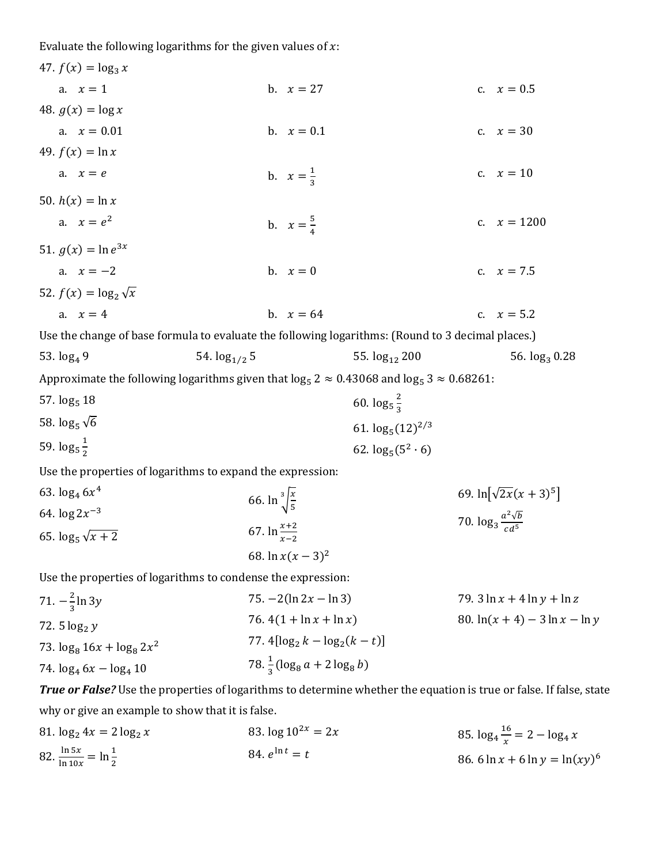Evaluate the following logarithms for the given values of  $x$ :

| 47. $f(x) = \log_3 x$                                                                                       |                                                               |                                                                                                                     |  |
|-------------------------------------------------------------------------------------------------------------|---------------------------------------------------------------|---------------------------------------------------------------------------------------------------------------------|--|
| a. $x = 1$                                                                                                  | b. $x = 27$                                                   | c. $x = 0.5$                                                                                                        |  |
| 48. $g(x) = \log x$                                                                                         |                                                               |                                                                                                                     |  |
| a. $x = 0.01$                                                                                               | b. $x = 0.1$                                                  | c. $x = 30$                                                                                                         |  |
| 49. $f(x) = \ln x$                                                                                          |                                                               |                                                                                                                     |  |
| a. $x = e$                                                                                                  | b. $x = \frac{1}{3}$                                          | c. $x = 10$                                                                                                         |  |
| 50. $h(x) = \ln x$                                                                                          |                                                               |                                                                                                                     |  |
| a. $x = e^2$                                                                                                | b. $x = \frac{5}{4}$                                          | c. $x = 1200$                                                                                                       |  |
| 51. $g(x) = \ln e^{3x}$                                                                                     |                                                               |                                                                                                                     |  |
| a. $x = -2$                                                                                                 | b. $x = 0$                                                    | c. $x = 7.5$                                                                                                        |  |
| 52. $f(x) = \log_2 \sqrt{x}$                                                                                |                                                               |                                                                                                                     |  |
| a. $x = 4$                                                                                                  | b. $x = 64$                                                   | c. $x = 5.2$                                                                                                        |  |
| Use the change of base formula to evaluate the following logarithms: (Round to 3 decimal places.)           |                                                               |                                                                                                                     |  |
| 54. $log_{1/2}$ 5<br>53. $log_4 9$                                                                          | 55. $log_{12} 200$                                            | 56. log <sub>3</sub> 0.28                                                                                           |  |
| Approximate the following logarithms given that $\log_5 2 \approx 0.43068$ and $\log_5 3 \approx 0.68261$ : |                                                               |                                                                                                                     |  |
| 57. $log_5 18$                                                                                              | 60. $\log_5 \frac{2}{3}$                                      |                                                                                                                     |  |
| 58. $\log_5 \sqrt{6}$                                                                                       | 61. $\log_5(12)^{2/3}$                                        |                                                                                                                     |  |
| 59. $\log_5 \frac{1}{2}$                                                                                    | 62. $\log_5(5^2 \cdot 6)$                                     |                                                                                                                     |  |
| Use the properties of logarithms to expand the expression:                                                  |                                                               |                                                                                                                     |  |
| 63. $\log_4 6x^4$                                                                                           | 66. $\ln \sqrt[3]{\frac{x}{5}}$                               | 69. $ln[\sqrt{2x}(x+3)^5]$                                                                                          |  |
| 64. $\log 2x^{-3}$                                                                                          |                                                               | 70. $\log_3 \frac{a^2 \sqrt{b}}{c d^5}$                                                                             |  |
| 65. $\log_5 \sqrt{x+2}$                                                                                     | 67. $\ln \frac{x+2}{x-2}$                                     |                                                                                                                     |  |
|                                                                                                             | 68. $\ln x(x-3)^2$                                            |                                                                                                                     |  |
| Use the properties of logarithms to condense the expression:                                                |                                                               |                                                                                                                     |  |
| 71. $-\frac{2}{3}$ ln 3y                                                                                    | 75. $-2(\ln 2x - \ln 3)$                                      | 79. $3 \ln x + 4 \ln y + \ln z$                                                                                     |  |
| 72. $5 \log_2 y$                                                                                            | 76. $4(1 + \ln x + \ln x)$                                    | 80. $ln(x + 4) - 3 ln x - ln y$                                                                                     |  |
| 73. $\log_8 16x + \log_8 2x^2$                                                                              | 77. $4[\log_2 k - \log_2 (k - t)]$                            |                                                                                                                     |  |
| 74. $\log_4 6x - \log_4 10$                                                                                 | 78. $\frac{1}{3}$ (log <sub>8</sub> a + 2 log <sub>8</sub> b) |                                                                                                                     |  |
|                                                                                                             |                                                               | True or False? Use the properties of logarithms to determine whether the equation is true or false. If false, state |  |

why or give an example to show that it is false.

81.  $\log_2 4x = 2 \log_2 x$ 82.  $\frac{\ln 5x}{\ln 10x} = \ln \frac{1}{2}$ 83.  $\log 10^{2x} = 2x$ 84.  $e^{\ln t} = t$ 85.  $\log_4 \frac{16}{x}$  $\frac{16}{x} = 2 - \log_4 x$ 86.  $6 \ln x + 6 \ln y = \ln(xy)^6$